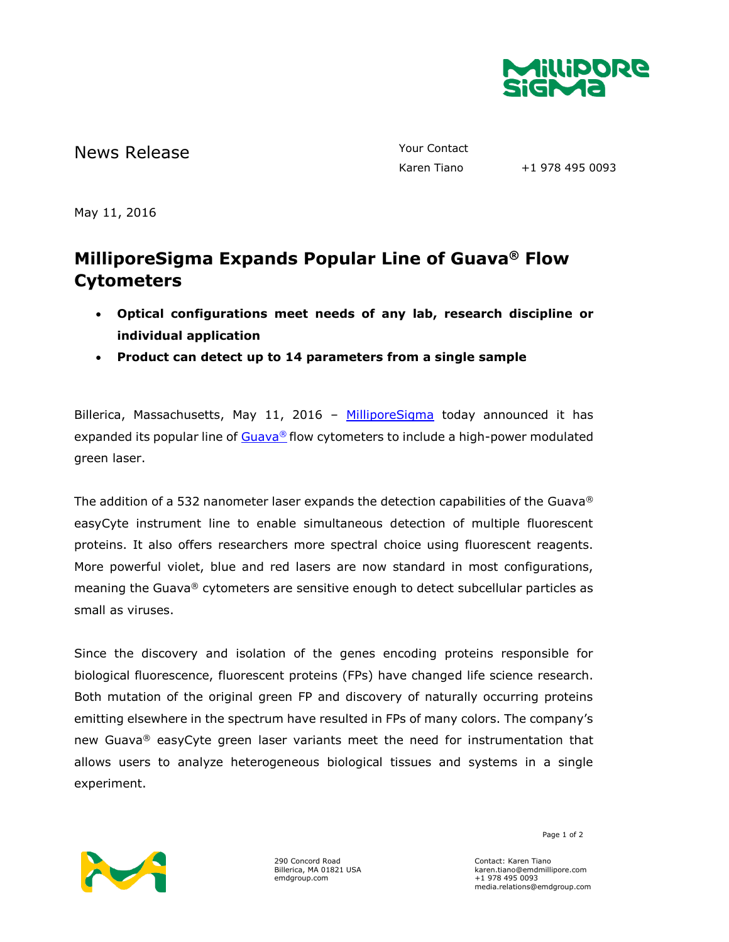

News Release The Contact Telecommunication of the Vour Contact

Karen Tiano +1 978 495 0093

May 11, 2016

## **MilliporeSigma Expands Popular Line of Guava® Flow Cytometers**

- **Optical configurations meet needs of any lab, research discipline or individual application**
- **Product can detect up to 14 parameters from a single sample**

Billerica, Massachusetts, May 11, 2016 - [MilliporeSigma](http://www.emdgroup.com/emd/products/life_science/life_science.html) today announced it has expanded its popular line of  $Gu$ ava® flow cytometers to include a high-power modulated green laser.

The addition of a 532 nanometer laser expands the detection capabilities of the Guava® easyCyte instrument line to enable simultaneous detection of multiple fluorescent proteins. It also offers researchers more spectral choice using fluorescent reagents. More powerful violet, blue and red lasers are now standard in most configurations, meaning the Guava® cytometers are sensitive enough to detect subcellular particles as small as viruses.

Since the discovery and isolation of the genes encoding proteins responsible for biological fluorescence, fluorescent proteins (FPs) have changed life science research. Both mutation of the original green FP and discovery of naturally occurring proteins emitting elsewhere in the spectrum have resulted in FPs of many colors. The company's new Guava<sup>®</sup> easyCyte green laser variants meet the need for instrumentation that allows users to analyze heterogeneous biological tissues and systems in a single experiment.



290 Concord Road Billerica, MA 01821 USA emdgroup.com

Page 1 of 2

Contact: Karen Tiano karen.tiano@emdmillipore.com +1 978 495 0093 media.relations@emdgroup.com